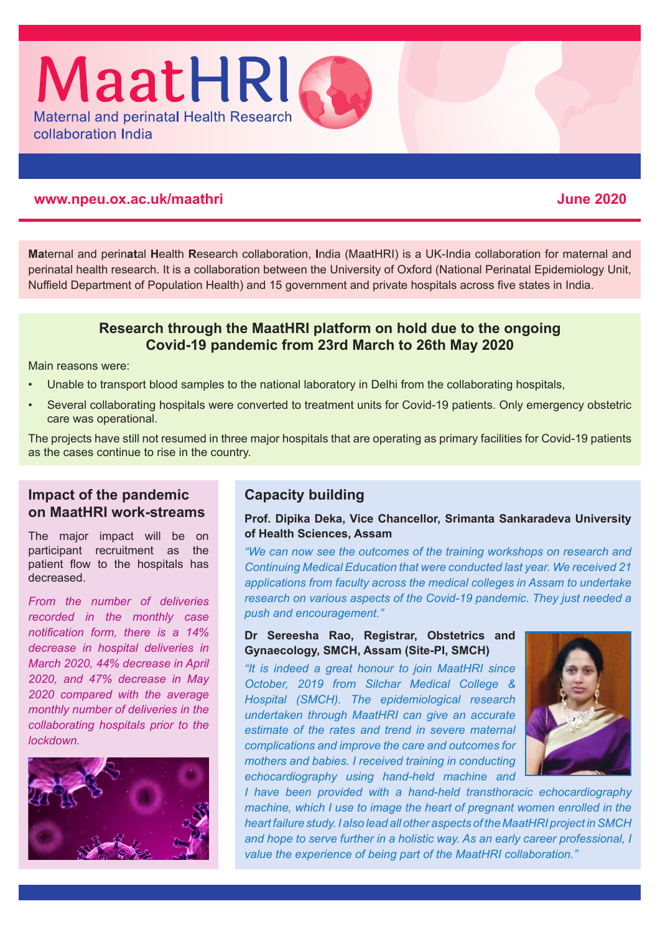### **www.npeu.ox.ac.uk/maathri June 2020**

collaboration India

**Ma**ternal and perin**at**al **H**ealth **R**esearch collaboration, **I**ndia (MaatHRI) is a UK-India collaboration for maternal and perinatal health research. It is a collaboration between the University of Oxford (National Perinatal Epidemiology Unit, Nuffield Department of Population Health) and 15 government and private hospitals across five states in India.

## **Research through the MaatHRI platform on hold due to the ongoing Covid-19 pandemic from 23rd March to 26th May 2020**

Main reasons were:

- Unable to transport blood samples to the national laboratory in Delhi from the collaborating hospitals,
- Several collaborating hospitals were converted to treatment units for Covid-19 patients. Only emergency obstetric care was operational.

The projects have still not resumed in three major hospitals that are operating as primary facilities for Covid-19 patients as the cases continue to rise in the country.

## **Impact of the pandemic on MaatHRI work-streams**

The major impact will be on participant recruitment as the patient flow to the hospitals has decreased.

*From the number of deliveries recorded in the monthly case notification form, there is a 14% decrease in hospital deliveries in March 2020, 44% decrease in April 2020, and 47% decrease in May 2020 compared with the average monthly number of deliveries in the collaborating hospitals prior to the lockdown.*



# **Capacity building**

#### **Prof. Dipika Deka, Vice Chancellor, Srimanta Sankaradeva University of Health Sciences, Assam**

*"We can now see the outcomes of the training workshops on research and Continuing Medical Education that were conducted last year. We received 21 applications from faculty across the medical colleges in Assam to undertake research on various aspects of the Covid-19 pandemic. They just needed a push and encouragement."* 

#### **Dr Sereesha Rao, Registrar, Obstetrics and Gynaecology, SMCH, Assam (Site-PI, SMCH)**

*"It is indeed a great honour to join MaatHRI since October, 2019 from Silchar Medical College & Hospital (SMCH). The epidemiological research undertaken through MaatHRI can give an accurate estimate of the rates and trend in severe maternal complications and improve the care and outcomes for mothers and babies. I received training in conducting echocardiography using hand-held machine and* 



*I have been provided with a hand-held transthoracic echocardiography machine, which I use to image the heart of pregnant women enrolled in the heart failure study. I also lead all other aspects of the MaatHRI project in SMCH and hope to serve further in a holistic way. As an early career professional, I value the experience of being part of the MaatHRI collaboration."*